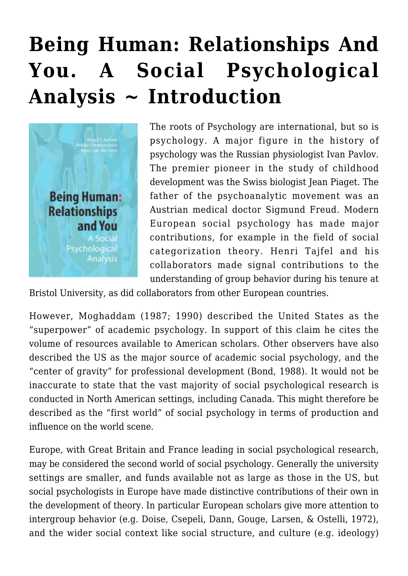## **[Being Human: Relationships And](https://rozenbergquarterly.com/being-human-relationships-and-you-a-social-psychological-analysis-introduction/) [You. A Social Psychological](https://rozenbergquarterly.com/being-human-relationships-and-you-a-social-psychological-analysis-introduction/) [Analysis ~ Introduction](https://rozenbergquarterly.com/being-human-relationships-and-you-a-social-psychological-analysis-introduction/)**



The roots of Psychology are international, but so is psychology. A major figure in the history of psychology was the Russian physiologist Ivan Pavlov. The premier pioneer in the study of childhood development was the Swiss biologist Jean Piaget. The father of the psychoanalytic movement was an Austrian medical doctor Sigmund Freud. Modern European social psychology has made major contributions, for example in the field of social categorization theory. Henri Tajfel and his collaborators made signal contributions to the understanding of group behavior during his tenure at

Bristol University, as did collaborators from other European countries.

However, Moghaddam (1987; 1990) described the United States as the "superpower" of academic psychology. In support of this claim he cites the volume of resources available to American scholars. Other observers have also described the US as the major source of academic social psychology, and the "center of gravity" for professional development (Bond, 1988). It would not be inaccurate to state that the vast majority of social psychological research is conducted in North American settings, including Canada. This might therefore be described as the "first world" of social psychology in terms of production and influence on the world scene.

Europe, with Great Britain and France leading in social psychological research, may be considered the second world of social psychology. Generally the university settings are smaller, and funds available not as large as those in the US, but social psychologists in Europe have made distinctive contributions of their own in the development of theory. In particular European scholars give more attention to intergroup behavior (e.g. Doise, Csepeli, Dann, Gouge, Larsen, & Ostelli, 1972), and the wider social context like social structure, and culture (e.g. ideology)